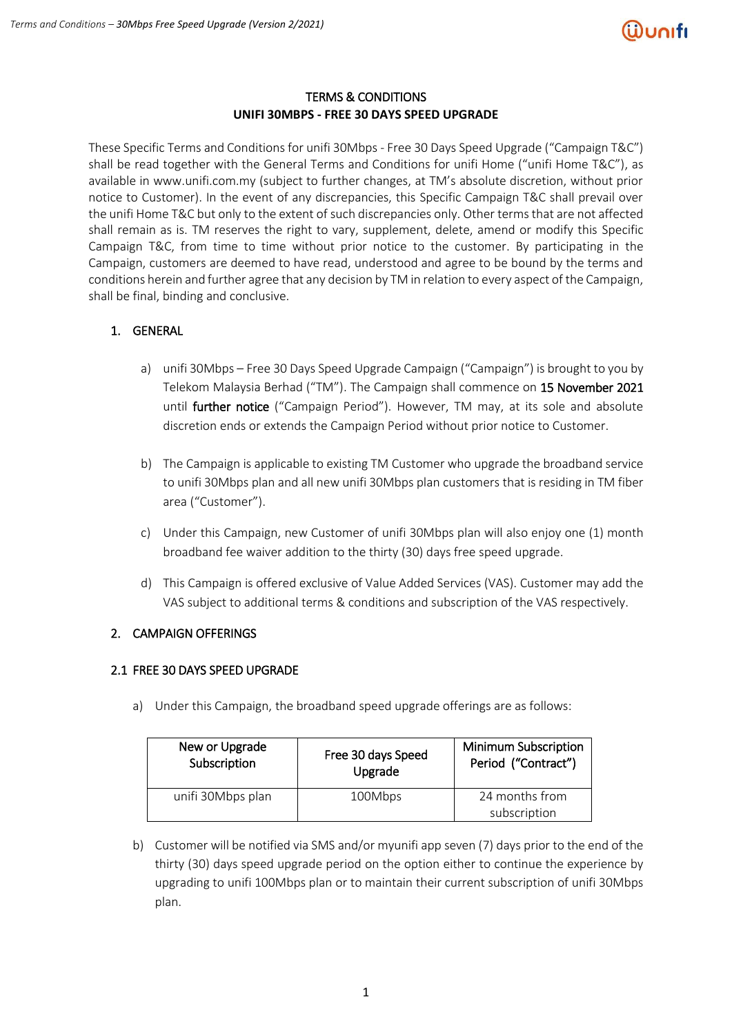

#### TERMS & CONDITIONS **UNIFI 30MBPS - FREE 30 DAYS SPEED UPGRADE**

These Specific Terms and Conditions for unifi 30Mbps - Free 30 Days Speed Upgrade ("Campaign T&C") shall be read together with the General Terms and Conditions for unifi Home ("unifi Home T&C"), as available in www.unifi.com.my (subject to further changes, at TM's absolute discretion, without prior notice to Customer). In the event of any discrepancies, this Specific Campaign T&C shall prevail over the unifi Home T&C but only to the extent of such discrepancies only. Other terms that are not affected shall remain as is. TM reserves the right to vary, supplement, delete, amend or modify this Specific Campaign T&C, from time to time without prior notice to the customer. By participating in the Campaign, customers are deemed to have read, understood and agree to be bound by the terms and conditions herein and further agree that any decision by TM in relation to every aspect of the Campaign, shall be final, binding and conclusive.

# 1. GENERAL

- a) unifi 30Mbps Free 30 Days Speed Upgrade Campaign ("Campaign") is brought to you by Telekom Malaysia Berhad ("TM"). The Campaign shall commence on 15 November 2021 until further notice ("Campaign Period"). However, TM may, at its sole and absolute discretion ends or extends the Campaign Period without prior notice to Customer.
- b) The Campaign is applicable to existing TM Customer who upgrade the broadband service to unifi 30Mbps plan and all new unifi 30Mbps plan customers that is residing in TM fiber area ("Customer").
- c) Under this Campaign, new Customer of unifi 30Mbps plan will also enjoy one (1) month broadband fee waiver addition to the thirty (30) days free speed upgrade.
- d) This Campaign is offered exclusive of Value Added Services (VAS). Customer may add the VAS subject to additional terms & conditions and subscription of the VAS respectively.

# 2. CAMPAIGN OFFERINGS

# 2.1 FREE 30 DAYS SPEED UPGRADE

a) Under this Campaign, the broadband speed upgrade offerings are as follows:

| New or Upgrade    | Free 30 days Speed | <b>Minimum Subscription</b>    |
|-------------------|--------------------|--------------------------------|
| Subscription      | Upgrade            | Period ("Contract")            |
| unifi 30Mbps plan | 100Mbps            | 24 months from<br>subscription |

b) Customer will be notified via SMS and/or myunifi app seven (7) days prior to the end of the thirty (30) days speed upgrade period on the option either to continue the experience by upgrading to unifi 100Mbps plan or to maintain their current subscription of unifi 30Mbps plan.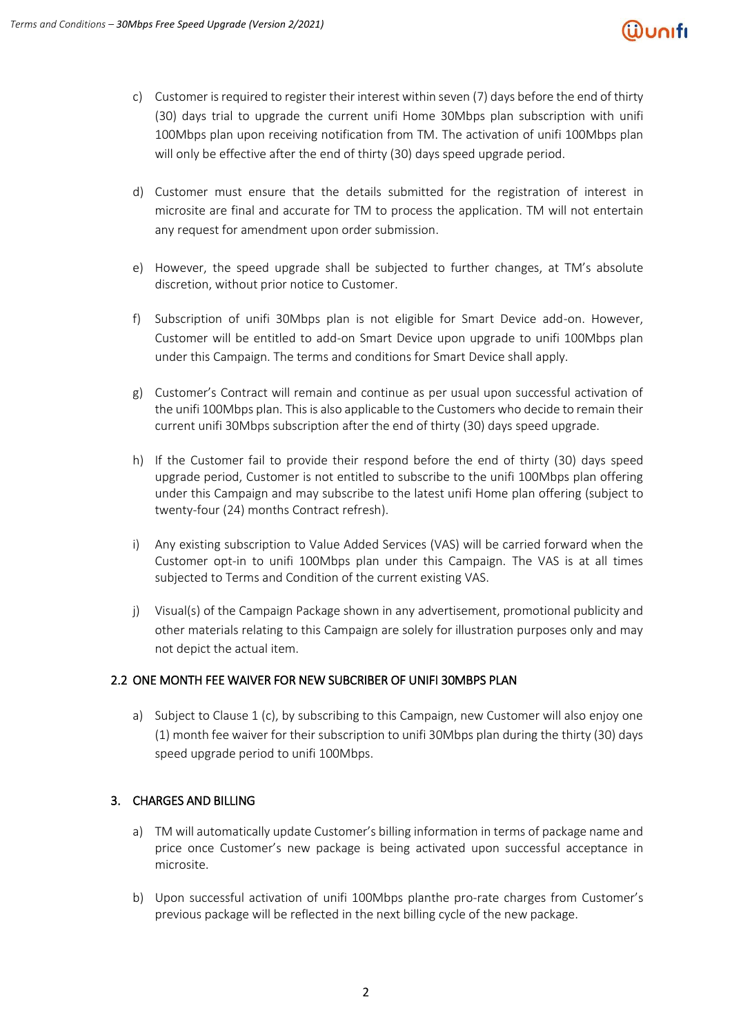

- c) Customer is required to register their interest within seven (7) days before the end of thirty (30) days trial to upgrade the current unifi Home 30Mbps plan subscription with unifi 100Mbps plan upon receiving notification from TM. The activation of unifi 100Mbps plan will only be effective after the end of thirty (30) days speed upgrade period.
- d) Customer must ensure that the details submitted for the registration of interest in microsite are final and accurate for TM to process the application. TM will not entertain any request for amendment upon order submission.
- e) However, the speed upgrade shall be subjected to further changes, at TM's absolute discretion, without prior notice to Customer.
- f) Subscription of unifi 30Mbps plan is not eligible for Smart Device add-on. However, Customer will be entitled to add-on Smart Device upon upgrade to unifi 100Mbps plan under this Campaign. The terms and conditions for Smart Device shall apply.
- g) Customer's Contract will remain and continue as per usual upon successful activation of the unifi 100Mbps plan. This is also applicable to the Customers who decide to remain their current unifi 30Mbps subscription after the end of thirty (30) days speed upgrade.
- h) If the Customer fail to provide their respond before the end of thirty (30) days speed upgrade period, Customer is not entitled to subscribe to the unifi 100Mbps plan offering under this Campaign and may subscribe to the latest unifi Home plan offering (subject to twenty-four (24) months Contract refresh).
- i) Any existing subscription to Value Added Services (VAS) will be carried forward when the Customer opt-in to unifi 100Mbps plan under this Campaign. The VAS is at all times subjected to Terms and Condition of the current existing VAS.
- j) Visual(s) of the Campaign Package shown in any advertisement, promotional publicity and other materials relating to this Campaign are solely for illustration purposes only and may not depict the actual item.

# 2.2 ONE MONTH FEE WAIVER FOR NEW SUBCRIBER OF UNIFI 30MBPS PLAN

a) Subject to Clause 1 (c), by subscribing to this Campaign, new Customer will also enjoy one (1) month fee waiver for their subscription to unifi 30Mbps plan during the thirty (30) days speed upgrade period to unifi 100Mbps.

# 3. CHARGES AND BILLING

- a) TM will automatically update Customer's billing information in terms of package name and price once Customer's new package is being activated upon successful acceptance in microsite.
- b) Upon successful activation of unifi 100Mbps planthe pro-rate charges from Customer's previous package will be reflected in the next billing cycle of the new package.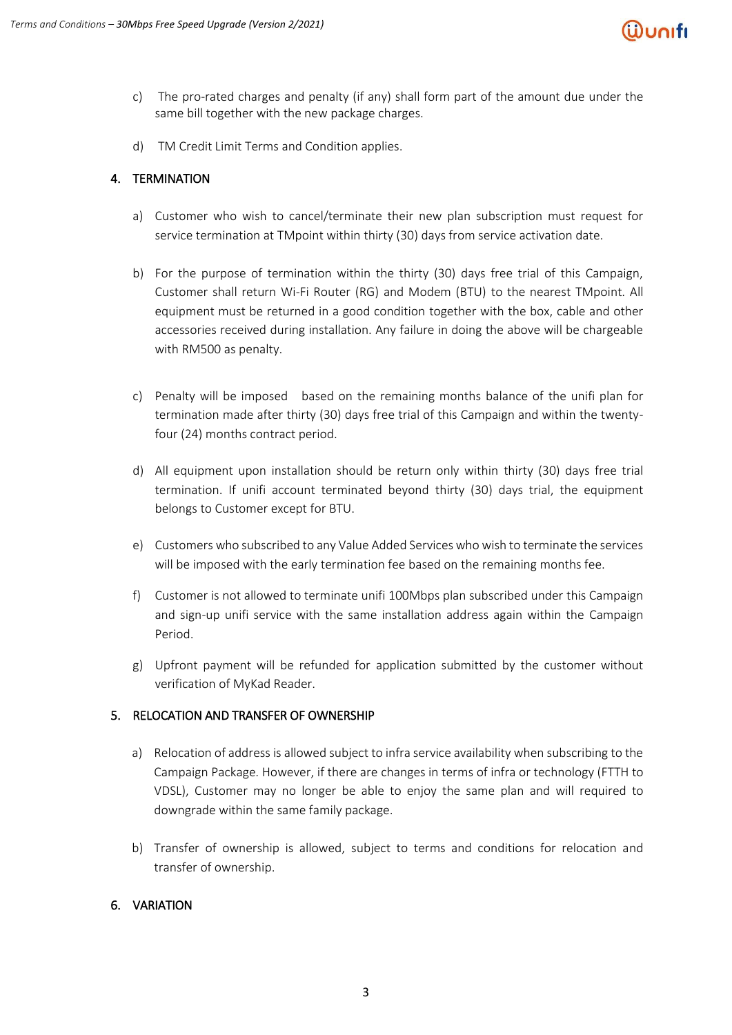

- c) The pro-rated charges and penalty (if any) shall form part of the amount due under the same bill together with the new package charges.
- d) TM Credit Limit Terms and Condition applies.

#### 4. TERMINATION

- a) Customer who wish to cancel/terminate their new plan subscription must request for service termination at TMpoint within thirty (30) days from service activation date.
- b) For the purpose of termination within the thirty (30) days free trial of this Campaign, Customer shall return Wi-Fi Router (RG) and Modem (BTU) to the nearest TMpoint. All equipment must be returned in a good condition together with the box, cable and other accessories received during installation. Any failure in doing the above will be chargeable with RM500 as penalty.
- c) Penalty will be imposed based on the remaining months balance of the unifi plan for termination made after thirty (30) days free trial of this Campaign and within the twentyfour (24) months contract period.
- d) All equipment upon installation should be return only within thirty (30) days free trial termination. If unifi account terminated beyond thirty (30) days trial, the equipment belongs to Customer except for BTU.
- e) Customers who subscribed to any Value Added Services who wish to terminate the services will be imposed with the early termination fee based on the remaining months fee.
- f) Customer is not allowed to terminate unifi 100Mbps plan subscribed under this Campaign and sign-up unifi service with the same installation address again within the Campaign Period.
- g) Upfront payment will be refunded for application submitted by the customer without verification of MyKad Reader.

#### 5. RELOCATION AND TRANSFER OF OWNERSHIP

- a) Relocation of address is allowed subject to infra service availability when subscribing to the Campaign Package. However, if there are changes in terms of infra or technology (FTTH to VDSL), Customer may no longer be able to enjoy the same plan and will required to downgrade within the same family package.
- b) Transfer of ownership is allowed, subject to terms and conditions for relocation and transfer of ownership.

#### 6. VARIATION